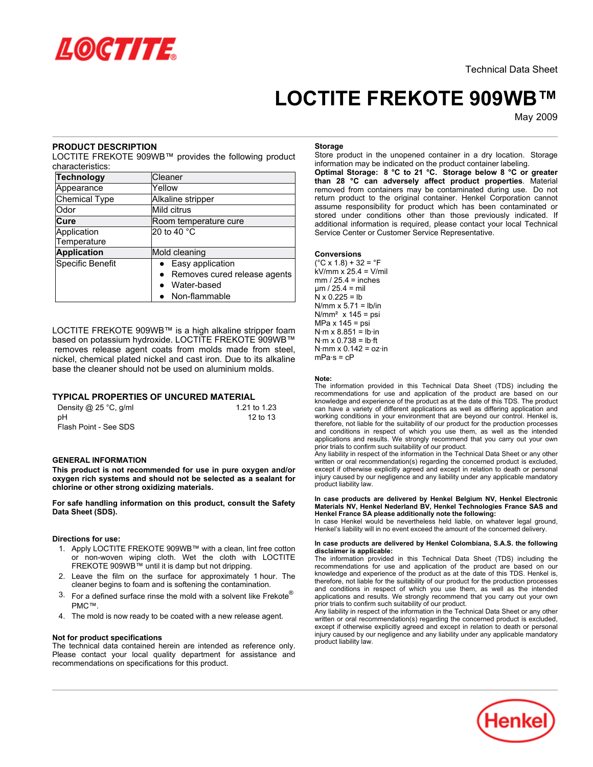

# **LOCTITE FREKOTE 909WB™**

May-2009

# **PRODUCT DESCRIPTION**

LOCTITE FREKOTE 909WB™ provides the following product characteristics:

| <b>Technology</b>    | Cleaner                      |  |
|----------------------|------------------------------|--|
| Appearance           | Yellow                       |  |
| <b>Chemical Type</b> | Alkaline stripper            |  |
| Odor                 | Mild citrus                  |  |
| Cure                 | Room temperature cure        |  |
| Application          | 20 to 40 °C                  |  |
| Temperature          |                              |  |
| <b>Application</b>   | Mold cleaning                |  |
| Specific Benefit     | • Easy application           |  |
|                      | Removes cured release agents |  |
|                      | Water-based                  |  |
|                      | • Non-flammable              |  |

LOCTITE FREKOTE 909WB™ is a high alkaline stripper foam based on potassium hydroxide. LOCTITE FREKOTE 909WB™ removes release agent coats from molds made from steel, nickel, chemical plated nickel and cast iron. Due to its alkaline base the cleaner should not be used on aluminium molds.

# **TYPICAL PROPERTIES OF UNCURED MATERIAL**

| Density @ 25 °C, g/ml | 1.21 to 1.23 |
|-----------------------|--------------|
| рH                    | 12 to 13     |
| Flash Point - See SDS |              |

# **GENERAL INFORMATION**

**This product is not recommended for use in pure oxygen and/or oxygen rich systems and should not be selected as a sealant for chlorine or other strong oxidizing materials.**

**For safe handling information on this product, consult the Safety Data Sheet (SDS).**

## **Directions for use:**

- 1. Apply LOCTITE FREKOTE 909WB™ with a clean, lint free cotton or non-woven wiping cloth. Wet the cloth with LOCTITE FREKOTE 909WB™ until it is damp but not dripping.
- 2. Leave the film on the surface for approximately 1 hour. The cleaner begins to foam and is softening the contamination.
- 3. For a defined surface rinse the mold with a solvent like Frekote<sup>®</sup> PMC™.
- 4. The mold is now ready to be coated with a new release agent.

## **Not for product specifications**

The technical data contained herein are intended as reference only. Please contact your local quality department for assistance and recommendations on specifications for this product.

#### **Storage**

Store product in the unopened container in a dry location. Storage information may be indicated on the product container labeling.

**Optimal Storage: 8 °C to 21 °C. Storage below 8 °C or greater than 28 °C can adversely affect product properties**. Material removed from containers may be contaminated during use. Do not return product to the original container. Henkel Corporation cannot assume responsibility for product which has been contaminated or stored under conditions other than those previously indicated. If additional information is required, please contact your local Technical Service Center or Customer Service Representative.

#### **Conversions**

 $(^{\circ}C \times 1.8) + 32 = ^{\circ}F$  $kV/mm x^2$  25.4 = V/mil  $mm / 25.4 = inches$  $um / 25.4 = mil$  $N \times 0.225 = lb$  $N/mm \times 5.71 = lb/in$  $N/mm<sup>2</sup>$  x 145 = psi MPa  $x$  145 = psi  $N·m \times 8.851 = lb·in$  $N·m \times 0.738 = lb·ft$  $N·mm \times 0.142 = oz·in$  $mPa·s = cP$ 

## **Note:**

The information provided in this Technical Data Sheet (TDS) including the recommendations for use and application of the product are based on our knowledge and experience of the product as at the date of this TDS. The product can have a variety of different applications as well as differing application and working conditions in your environment that are beyond our control. Henkel is, therefore, not liable for the suitability of our product for the production processes and conditions in respect of which you use them, as well as the intended applications and results. We strongly recommend that you carry out your own prior trials to confirm such suitability of our product.

Any liability in respect of the information in the Technical Data Sheet or any other written or oral recommendation(s) regarding the concerned product is excluded, except if otherwise explicitly agreed and except in relation to death or personal injury caused by our negligence and any liability under any applicable mandatory product liability law.

#### **In case products are delivered by Henkel Belgium NV, Henkel Electronic Materials NV, Henkel Nederland BV, Henkel Technologies France SAS and Henkel France SA please additionally note the following:**

In case Henkel would be nevertheless held liable, on whatever legal ground, Henkel's liability will in no event exceed the amount of the concerned delivery.

#### **In case products are delivered by Henkel Colombiana, S.A.S. the following disclaimer is applicable:**

The information provided in this Technical Data Sheet (TDS) including the recommendations for use and application of the product are based on our knowledge and experience of the product as at the date of this TDS. Henkel is, therefore, not liable for the suitability of our product for the production processes and conditions in respect of which you use them, as well as the intended applications and results. We strongly recommend that you carry out your own prior trials to confirm such suitability of our product.

Any liability in respect of the information in the Technical Data Sheet or any other written or oral recommendation(s) regarding the concerned product is excluded, except if otherwise explicitly agreed and except in relation to death or personal injury caused by our negligence and any liability under any applicable mandatory product liability law.